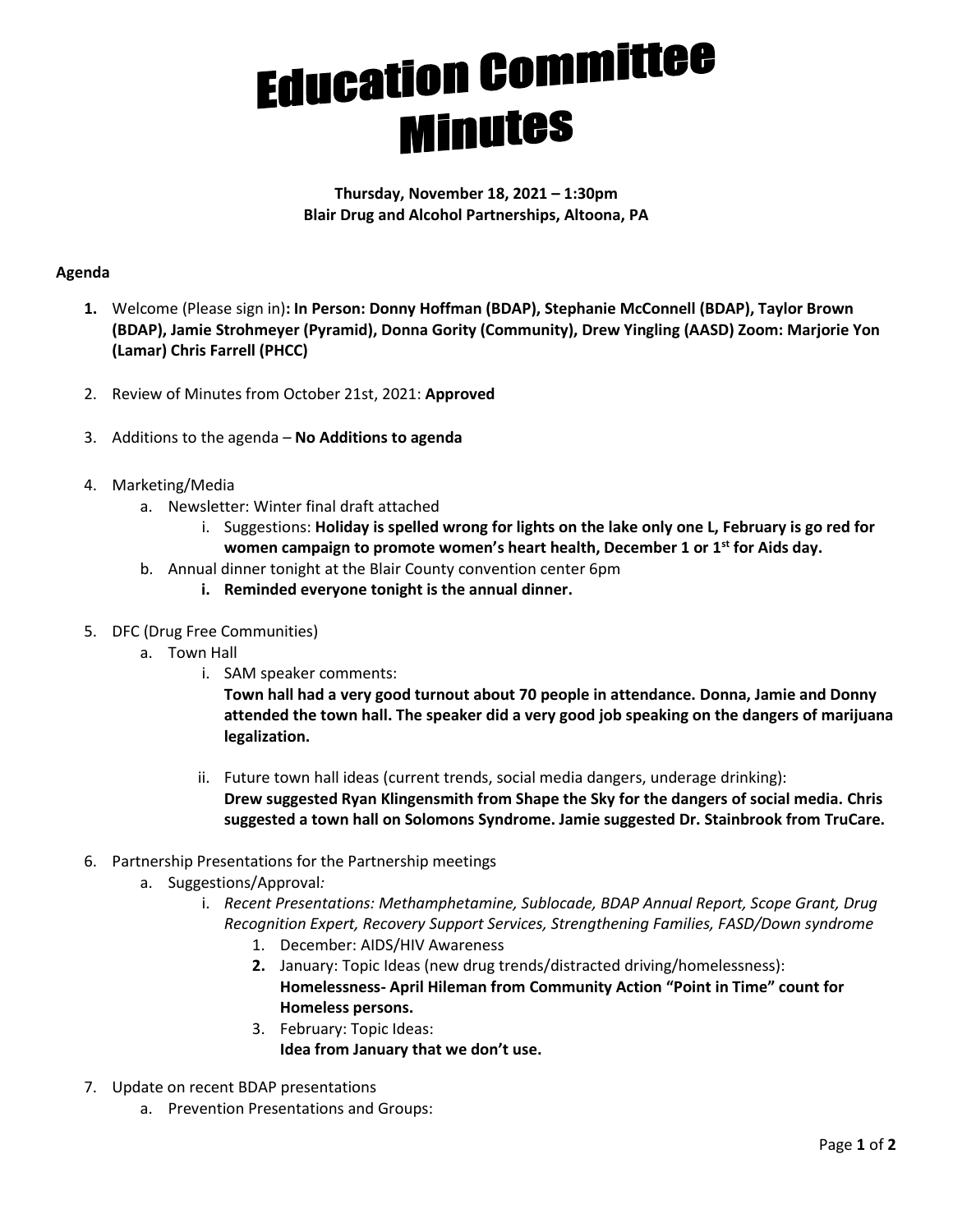## **Education Committee Minutes**

**Thursday, November 18, 2021 – 1:30pm Blair Drug and Alcohol Partnerships, Altoona, PA**

## **Agenda**

- **1.** Welcome (Please sign in)**: In Person: Donny Hoffman (BDAP), Stephanie McConnell (BDAP), Taylor Brown (BDAP), Jamie Strohmeyer (Pyramid), Donna Gority (Community), Drew Yingling (AASD) Zoom: Marjorie Yon (Lamar) Chris Farrell (PHCC)**
- 2. Review of Minutes from October 21st, 2021: **Approved**
- 3. Additions to the agenda **No Additions to agenda**
- 4. Marketing/Media
	- a. Newsletter: Winter final draft attached
		- i. Suggestions: **Holiday is spelled wrong for lights on the lake only one L, February is go red for women campaign to promote women's heart health, December 1 or 1st for Aids day.**
	- b. Annual dinner tonight at the Blair County convention center 6pm
		- **i. Reminded everyone tonight is the annual dinner.**
- 5. DFC (Drug Free Communities)
	- a. Town Hall
		- i. SAM speaker comments:

**Town hall had a very good turnout about 70 people in attendance. Donna, Jamie and Donny attended the town hall. The speaker did a very good job speaking on the dangers of marijuana legalization.** 

- ii. Future town hall ideas (current trends, social media dangers, underage drinking): **Drew suggested Ryan Klingensmith from Shape the Sky for the dangers of social media. Chris suggested a town hall on Solomons Syndrome. Jamie suggested Dr. Stainbrook from TruCare.**
- 6. Partnership Presentations for the Partnership meetings
	- a. Suggestions/Approval*:*
		- i. *Recent Presentations: Methamphetamine, Sublocade, BDAP Annual Report, Scope Grant, Drug Recognition Expert, Recovery Support Services, Strengthening Families, FASD/Down syndrome*
			- 1. December: AIDS/HIV Awareness
			- **2.** January: Topic Ideas (new drug trends/distracted driving/homelessness): **Homelessness- April Hileman from Community Action "Point in Time" count for Homeless persons.**
			- 3. February: Topic Ideas: **Idea from January that we don't use.**
- 7. Update on recent BDAP presentations
	- a. Prevention Presentations and Groups: